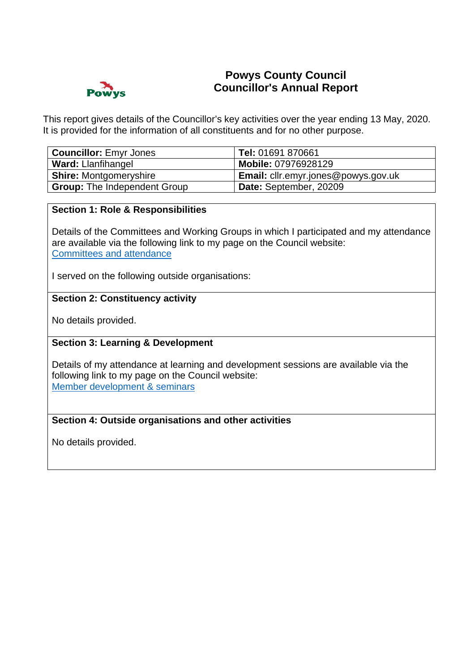

# **Powys County Council Councillor's Annual Report**

This report gives details of the Councillor's key activities over the year ending 13 May, 2020. It is provided for the information of all constituents and for no other purpose.

| Councillor: Emyr Jones              | Tel: 01691 870661                   |
|-------------------------------------|-------------------------------------|
| <b>Ward: Llanfihangel</b>           | Mobile: 07976928129                 |
| <b>Shire: Montgomeryshire</b>       | Email: cllr.emyr.jones@powys.gov.uk |
| <b>Group:</b> The Independent Group | Date: September, 20209              |

#### **Section 1: Role & Responsibilities**

Details of the Committees and Working Groups in which I participated and my attendance are available via the following link to my page on the Council website: [Committees and attendance](https://powys.moderngov.co.uk/mgAttendance.aspx?XXR=0&DR=16%2f05%2f2019-13%2f05%2f2020&ACT=Go&UID=583)

I served on the following outside organisations:

## **Section 2: Constituency activity**

No details provided.

## **Section 3: Learning & Development**

Details of my attendance at learning and development sessions are available via the following link to my page on the Council website: [Member development & seminars](https://powys.moderngov.co.uk/mgListTraining.aspx?XXR=0&DR=16%2f05%2f2019-13%2f05%2f2020&ACT=Find&UID=583&RPID=3964197)

#### **Section 4: Outside organisations and other activities**

No details provided.